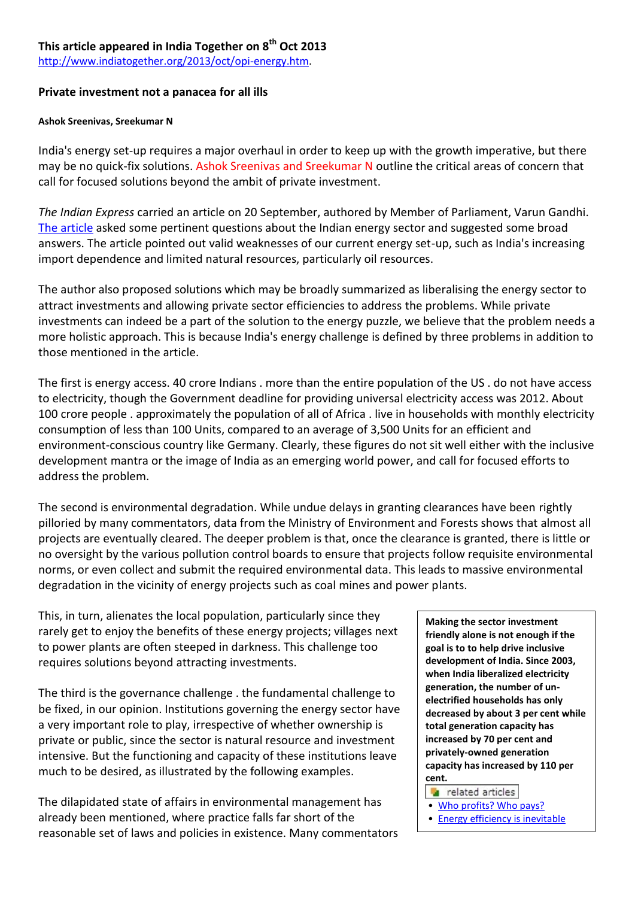## **This article appeared in India Together on 8th Oct 2013**

[http://www.indiatogether.org/2013/oct/opi-energy.htm.](http://www.indiatogether.org/2013/oct/opi-energy.htm)

### **Private investment not a panacea for all ills**

#### **Ashok Sreenivas, Sreekumar N**

India's energy set-up requires a major overhaul in order to keep up with the growth imperative, but there may be no quick-fix solutions. Ashok Sreenivas and Sreekumar N outline the critical areas of concern that call for focused solutions beyond the ambit of private investment.

*The Indian Express* carried an article on 20 September, authored by Member of Parliament, Varun Gandhi. [The article](http://www.indianexpress.com/news/seeking-clarity-on-energy/1171485/0) asked some pertinent questions about the Indian energy sector and suggested some broad answers. The article pointed out valid weaknesses of our current energy set-up, such as India's increasing import dependence and limited natural resources, particularly oil resources.

The author also proposed solutions which may be broadly summarized as liberalising the energy sector to attract investments and allowing private sector efficiencies to address the problems. While private investments can indeed be a part of the solution to the energy puzzle, we believe that the problem needs a more holistic approach. This is because India's energy challenge is defined by three problems in addition to those mentioned in the article.

The first is energy access. 40 crore Indians . more than the entire population of the US . do not have access to electricity, though the Government deadline for providing universal electricity access was 2012. About 100 crore people . approximately the population of all of Africa . live in households with monthly electricity consumption of less than 100 Units, compared to an average of 3,500 Units for an efficient and environment-conscious country like Germany. Clearly, these figures do not sit well either with the inclusive development mantra or the image of India as an emerging world power, and call for focused efforts to address the problem.

The second is environmental degradation. While undue delays in granting clearances have been rightly pilloried by many commentators, data from the Ministry of Environment and Forests shows that almost all projects are eventually cleared. The deeper problem is that, once the clearance is granted, there is little or no oversight by the various pollution control boards to ensure that projects follow requisite environmental norms, or even collect and submit the required environmental data. This leads to massive environmental degradation in the vicinity of energy projects such as coal mines and power plants.

This, in turn, alienates the local population, particularly since they rarely get to enjoy the benefits of these energy projects; villages next to power plants are often steeped in darkness. This challenge too requires solutions beyond attracting investments.

The third is the governance challenge . the fundamental challenge to be fixed, in our opinion. Institutions governing the energy sector have a very important role to play, irrespective of whether ownership is private or public, since the sector is natural resource and investment intensive. But the functioning and capacity of these institutions leave much to be desired, as illustrated by the following examples.

The dilapidated state of affairs in environmental management has already been mentioned, where practice falls far short of the reasonable set of laws and policies in existence. Many commentators **Making the sector investment friendly alone is not enough if the goal is to to help drive inclusive development of India. Since 2003, when India liberalized electricity generation, the number of unelectrified households has only decreased by about 3 per cent while total generation capacity has increased by 70 per cent and privately-owned generation capacity has increased by 110 per cent.** 

related articles

- [Who profits? Who pays?](http://www.indiatogether.org/2012/jan/eco-power.htm)
- [Energy efficiency is inevitable](http://www.indiatogether.org/2010/aug/env-effenergy.htm)